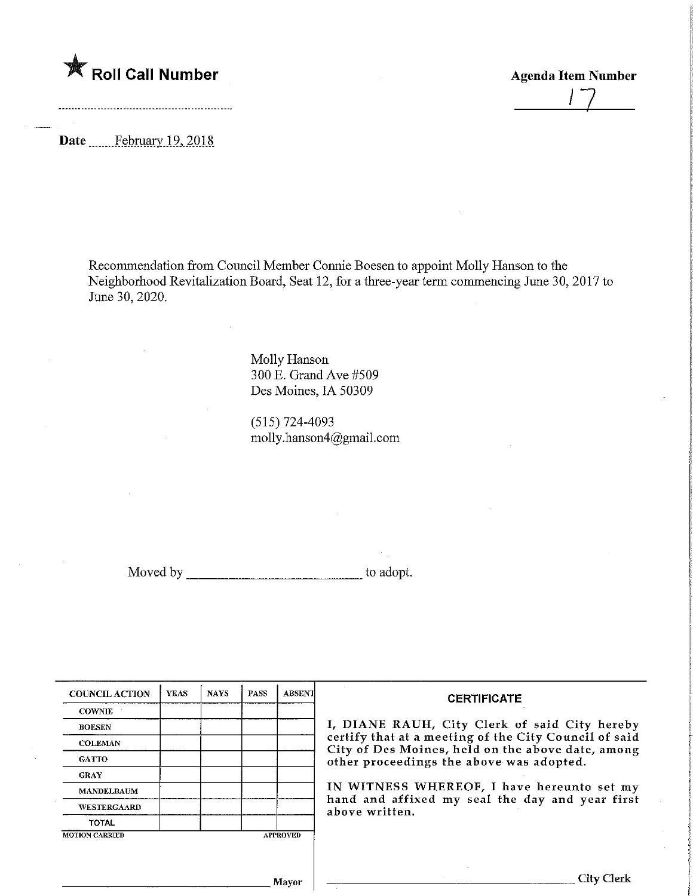$\bigtimes$  Roll Call Number

**Agenda Item Number** 

Date ........ February 19, 2018

Recommendation from Council Member Connie Boesen to appoint Molly Hanson to the Neighborhood Revitalization Board, Seat 12, for a three-year term commencing June 30, 2017 to June 30,2020.

> Molly Hanson 300 E. Grand Ave #509 Des Moines, IA 50309

(515)724-4093 molly.hanson4@gmail.com

Moved by to adopt.

| <b>COUNCIL ACTION</b> | <b>YEAS</b> | <b>NAYS</b> | PASS | <b>ABSENT</b>   |
|-----------------------|-------------|-------------|------|-----------------|
| <b>COWNIE</b>         |             |             |      |                 |
| <b>BOESEN</b>         |             |             |      |                 |
| <b>COLEMAN</b>        |             |             |      |                 |
| <b>GATTO</b>          |             |             |      |                 |
| <b>GRAY</b>           |             |             |      |                 |
| <b>MANDELBAUM</b>     |             |             |      |                 |
| WESTERGAARD           |             |             |      |                 |
| <b>TOTAL</b>          |             |             |      |                 |
| <b>MOTION CARRIED</b> |             |             |      | <b>APPROVED</b> |

## **CERTIFICATE**

, DIANE RAUH, City Clerk of said City hereby certify that at a meeting of the City Council of said  $\Sigma$ ity of Des Moines, held on the above date, among other proceedings the above was adopted.

IN WITNESS WHEREOF/ I have hereunto set my and and affixed my seal the day and year first above written.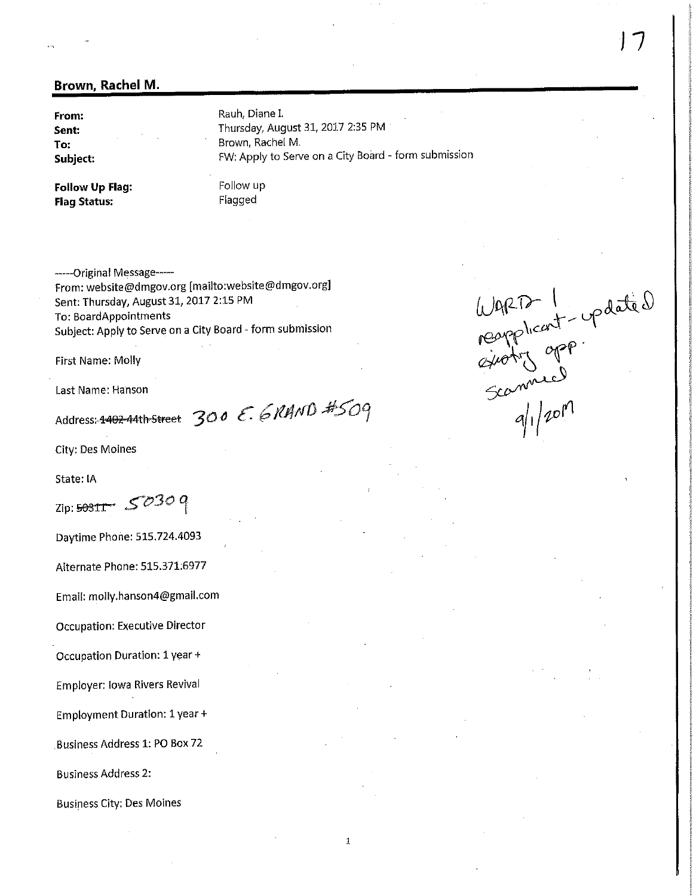## Brown, Rachel M.

From: Sent: To: Subject: Rauh, Diane I. Thursday, August 31, 2017 2:35 PM Brown, Rachel M. FW: Apply to Serve on a City Board - form submission

 $\mathbf{1}$ 

Follow Up Flag: Flag Status:

Follow up Flagged

------Original Message-----From: website@dmgov.org [maiito:website@dmgov.org] Sent: Thursday, August 31, 2017 2:15 PM To: BoardAppointments Subject: Apply to Serve on a City Board ~ form submission

First Name: Molly

Last Name: Hanson

Address:  $4402-44$ th-Street 300 E. 6RHND #509

City: Des Moines

State: IA

 $\zeta$ zip: 5030 q

Daytime Phone: 515.724.4093

Alternate Phone: 515.371.6977

Email: molly.hanson4@gmail.com

Occupation: Executive Director

Occupation Duration: 1 year +

Employer: iowa Rivers Revival

Employment Duration: 1 year +

.Business Address 1: PO Box 72

Business Address 2:

Business City; Des Moines

 $U_{Q}P$  and  $U_{Q}$  and  $U_{Q}$ eapplicant-c  $\sqrt[3]{1/201}$  $\mathcal{L}_{\mathcal{A}}$ 

 $\overline{\mathcal{L}}$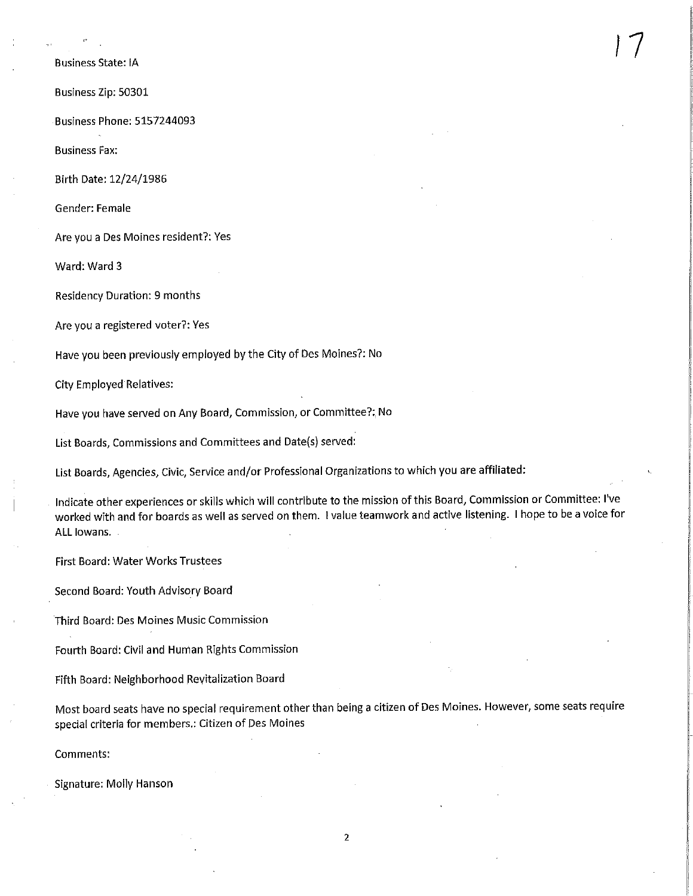Business State: fA

Business Zip: 50301

Business Phone: 5157244093

Business Fax;

Birth Date: 12/24/1986

Gender: Female

Are you a Des Moines resident?; Yes

Ward: Ward 3

Residency Duration: 9 months

Are you a registered voter?: Yes

Have you been previously employed by the City of Des Moines?; No

City Employed Relatives:

Have you have served on Any Board, Commission, or Committee?; No

List Boards, Commissions and Committees and Date(s) served:

List Boards, Agencies, Civic, Service and/or Professional Organizations to which you are affiliated:

Indicate other experiences or skills which will contribute to the mission of this Board, Commission or Committee: I've worked with and for boards as well as served on them. I value teamwork and active listening. I hope to be a voice for ALL lowans. .

 $\frac{1}{2}$ 

First Board: Water Works Trustees

Second Board: Youth Advisory Board

Third Board: Des Moines Music Commission

Fourth Board: Civil and Human Rights Commission

Fifth Board: Neighborhood Revitalization Board

Most board seats have no special requirement other than being a citizen of Des Moines. However, some seats require special criteria for members.: Citizen of Des Moines

Comments:

Signature: Molly Hanson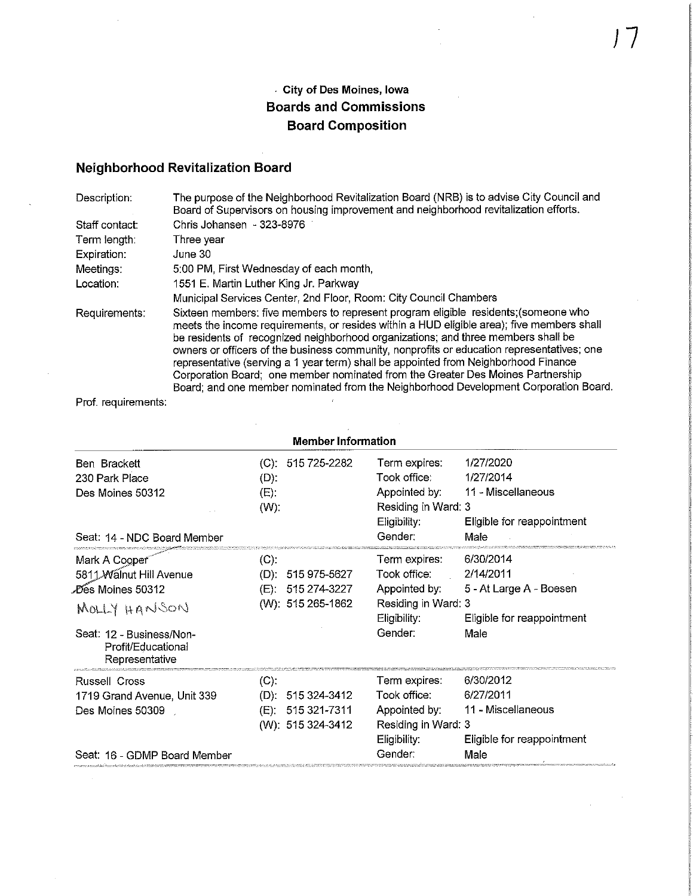## City of Des Moines, Iowa Boards and Commissions Board Composition

 $\sqrt{7}$ 

## Neighborhood Revitalization Board

| Description:   | The purpose of the Neighborhood Revitalization Board (NRB) is to advise City Council and<br>Board of Supervisors on housing improvement and neighborhood revitalization efforts.                                                                                                                                                                                                                                                                                                                                                                                                                                                      |
|----------------|---------------------------------------------------------------------------------------------------------------------------------------------------------------------------------------------------------------------------------------------------------------------------------------------------------------------------------------------------------------------------------------------------------------------------------------------------------------------------------------------------------------------------------------------------------------------------------------------------------------------------------------|
| Staff contact: | Chris Johansen - 323-8976                                                                                                                                                                                                                                                                                                                                                                                                                                                                                                                                                                                                             |
| Term length:   | Three vear                                                                                                                                                                                                                                                                                                                                                                                                                                                                                                                                                                                                                            |
| Expiration:    | June 30                                                                                                                                                                                                                                                                                                                                                                                                                                                                                                                                                                                                                               |
| Meetings:      | 5:00 PM, First Wednesday of each month,                                                                                                                                                                                                                                                                                                                                                                                                                                                                                                                                                                                               |
| Location:      | 1551 E. Martin Luther King Jr. Parkway                                                                                                                                                                                                                                                                                                                                                                                                                                                                                                                                                                                                |
|                | Municipal Services Center, 2nd Floor, Room: City Council Chambers                                                                                                                                                                                                                                                                                                                                                                                                                                                                                                                                                                     |
| Requirements:  | Sixteen members: five members to represent program eligible residents; (someone who<br>meets the income requirements, or resides within a HUD eligible area); five members shall<br>be residents of recognized neighborhood organizations; and three members shall be<br>owners or officers of the business community, nonprofits or education representatives; one<br>representative (serving a 1 year term) shall be appointed from Neighborhood Finance<br>Corporation Board; one member nominated from the Greater Des Moines Partnership<br>Board; and one member nominated from the Neighborhood Development Corporation Board. |

 $\hat{\mathcal{A}}$ 

Prof. requirements:

| <b>Member Information</b>                                                                                                                         |                           |                                                        |                                                                                                  |                                                                                         |
|---------------------------------------------------------------------------------------------------------------------------------------------------|---------------------------|--------------------------------------------------------|--------------------------------------------------------------------------------------------------|-----------------------------------------------------------------------------------------|
| Ben Brackett<br>230 Park Place<br>Des Moines 50312<br>Seat: 14 - NDC Board Member                                                                 | $(D)$ :<br>(E)<br>$(W)$ : | $(C)$ : 515 725-2282                                   | Term expires:<br>Took office:<br>Appointed by:<br>Residing in Ward: 3<br>Eligibility:<br>Gender: | 1/27/2020<br>1/27/2014<br>11 - Miscellaneous<br>Eligible for reappointment<br>Male      |
| Mark A Cooper<br>5811 Walnut Hill Avenue<br>∕Des Moines 50312<br>MOLLY HANSON<br>Seat: 12 - Business/Non-<br>Profit/Educational<br>Representative | (C).<br>(D) -<br>(E).     | 515 975-5627<br>515 274-3227<br>(W): 515 265-1862      | Term expires:<br>Took office:<br>Appointed by:<br>Residing in Ward: 3<br>Eligibility:<br>Gender: | 6/30/2014<br>2/14/2011<br>5 - At Large A - Boesen<br>Eligible for reappointment<br>Male |
| Russell Cross<br>1719 Grand Avenue, Unit 339<br>Des Moines 50309<br>Seat: 16 - GDMP Board Member                                                  | $(C)$ .<br>(D):           | 515 324-3412<br>(E): 515 321 7311<br>(W): 515 324-3412 | Term expires:<br>Took office:<br>Appointed by:<br>Residing in Ward: 3<br>Eligibility:<br>Gender: | 6/30/2012<br>6/27/2011<br>11 - Miscellaneous<br>Eligible for reappointment<br>Male      |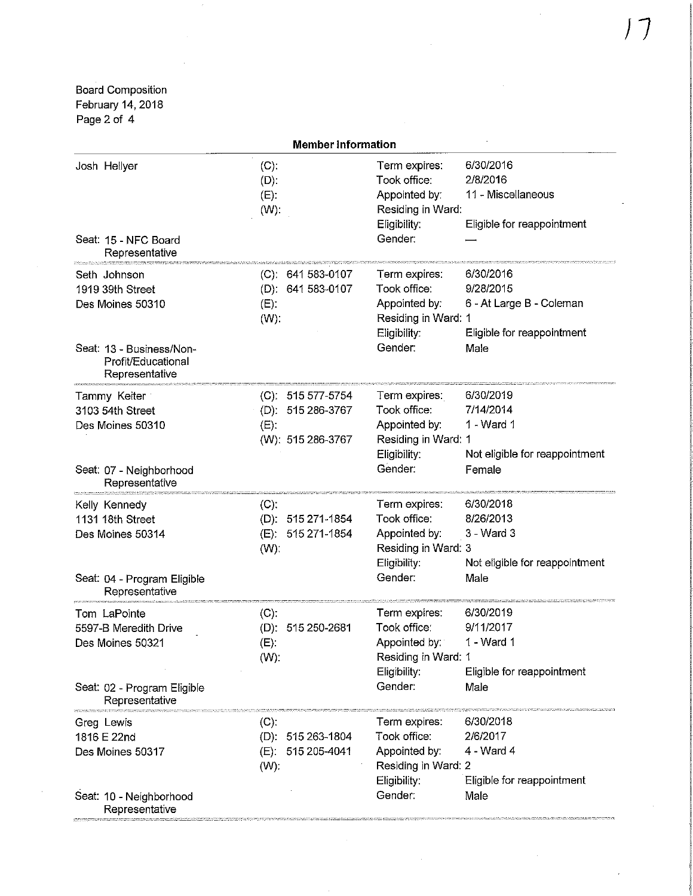Board Composition February 14,2018 Page 2 of 4

| <b>Member Information</b>                                                                                                |                                                                           |                                                                                                  |                                                                                          |
|--------------------------------------------------------------------------------------------------------------------------|---------------------------------------------------------------------------|--------------------------------------------------------------------------------------------------|------------------------------------------------------------------------------------------|
| Josh Hellyer<br>Seat: 15 - NFC Board<br>Representative                                                                   | (C).<br>$(D)$ :<br>$(E)$ :<br>$(W)$ :                                     | Term expires:<br>Took office:<br>Appointed by:<br>Residing in Ward:<br>Eligibility:<br>Gender:   | 6/30/2016<br>2/8/2016<br>11 - Miscellaneous<br>Eligible for reappointment                |
| Seth Johnson<br>1919 39th Street<br>Des Moines 50310<br>Seat: 13 - Business/Non-<br>Profit/Educational<br>Representative | $(C)$ : 641 583-0107<br>(D): 641 583-0107<br>$(E)$ :<br>$(W)$ :           | Term expires:<br>Took office:<br>Appointed by:<br>Residing in Ward: 1<br>Eligibility:<br>Gender: | 6/30/2016<br>9/28/2015<br>6 - At Large B - Coleman<br>Eligible for reappointment<br>Male |
| Tammy Keiter<br>3103 54th Street<br>Des Moines 50310<br>Seat: 07 - Neighborhood<br>Representative                        | $(C)$ : 515 577-5754<br>(D): 515 286-3767<br>$(E)$ .<br>(W): 515 286-3767 | Term expires:<br>Took office:<br>Appointed by:<br>Residing in Ward: 1<br>Eligibility:<br>Gender: | 6/30/2019<br>7/14/2014<br>1 - Ward 1<br>Not eligible for reappointment<br>Female         |
| Kelly Kennedy<br>1131 18th Street<br>Des Moines 50314<br>Seat: 04 - Program Eligible<br>Representative                   | (C)<br>$(D)$ : 515 271-1854<br>(E): 515 271-1854<br>$(W)$ :               | Term expires:<br>Took office:<br>Appointed by:<br>Residing in Ward: 3<br>Eligibility:<br>Gender: | 6/30/2018<br>8/26/2013<br>3 - Ward 3<br>Not eligible for reappointment<br>Male           |
| Tom LaPointe<br>5597-B Meredith Drive<br>Des Moines 50321<br>Seat: 02 - Program Eligible<br>Representative               | $(C)$ :<br>(D): 515 250-2681<br>$(E)$ :<br>$(W)$ :                        | Term expires:<br>Took office:<br>Appointed by:<br>Residing in Ward: 1<br>Eligibility:<br>Gender: | 6/30/2019<br>9/11/2017<br>1 - Ward 1<br>Eligible for reappointment<br>Male               |
| Greg Lewis<br>1816 E 22nd<br>Des Moines 50317<br>Seat: 10 - Neighborhood<br>Representative                               | (C)<br>(D): 515 263-1804<br>515 205-4041<br>(E)<br>$(W)$ :                | Term expires:<br>Took office:<br>Appointed by:<br>Residing in Ward: 2<br>Eligibility:<br>Gender: | 6/30/2018<br>2/6/2017<br>4 - Ward 4<br>Eligible for reappointment<br>Male                |

 $\mathcal{A}^{\mathcal{A}}$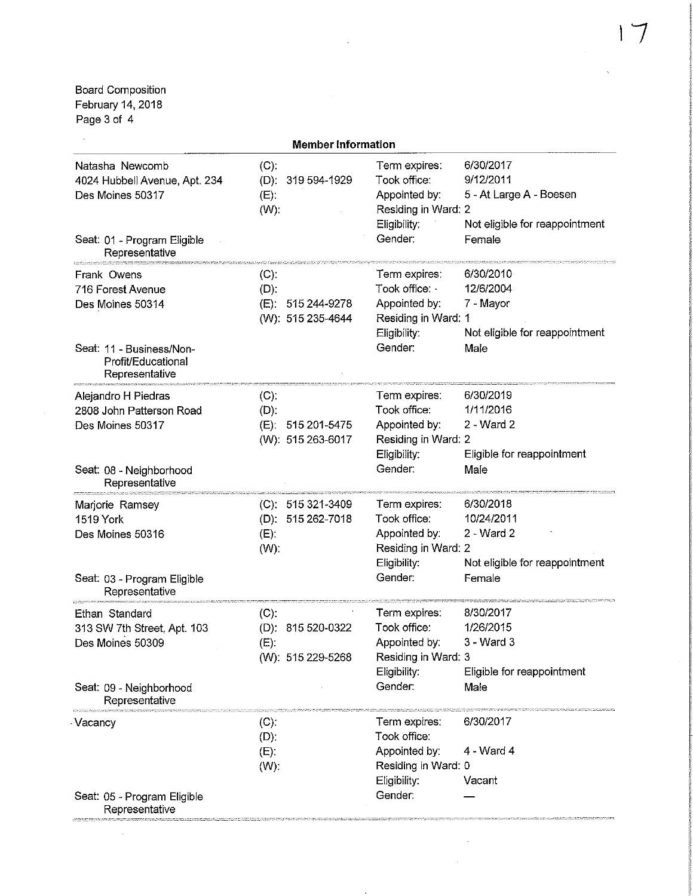Board Composition February 14, 2018 Page 3 of 4

 $\sim 10^6$ 

| <b>Member Information</b>                                                                                                |                                                                  |                                                                                                  |                                                                                               |
|--------------------------------------------------------------------------------------------------------------------------|------------------------------------------------------------------|--------------------------------------------------------------------------------------------------|-----------------------------------------------------------------------------------------------|
| Natasha Newcomb<br>4024 Hubbell Avenue, Apt. 234<br>Des Moines 50317<br>Seat: 01 - Program Eligible<br>Representative    | (C)<br>(D): 319 594-1929<br>$(E)$ :<br>$(W)$ :                   | Term expires:<br>Took office:<br>Appointed by:<br>Residing in Ward: 2<br>Eligibility:<br>Gender: | 6/30/2017<br>9/12/2011<br>5 - At Large A - Boesen<br>Not eligible for reappointment<br>Female |
| Frank Owens<br>716 Forest Avenue<br>Des Moines 50314<br>Seat: 11 - Business/Non-<br>Profit/Educational<br>Representative | $(C)^{n}$<br>$(D)$ .<br>(E)<br>515 244-9278<br>(W): 515 235-4644 | Term expires:<br>Took office:<br>Appointed by:<br>Residing in Ward: 1<br>Eligibility:<br>Gender: | 6/30/2010<br>12/6/2004<br>7 - Mayor<br>Not eligible for reappointment<br>Male                 |
| Alejandro H Piedras<br>2808 John Patterson Road<br>Des Moines 50317<br>Seat: 08 - Neighborhood                           | $(C)$ :<br>(D)<br>(E): 515 201-5475<br>(W): 515 263-6017         | Term expires:<br>Took office:<br>Appointed by:<br>Residing in Ward: 2<br>Eligibility:<br>Gender: | 6/30/2019<br>1/11/2016<br>2 - Ward 2<br>Eligible for reappointment<br>Male                    |
| Representative<br>Marjorie Ramsey<br>1519 York<br>Des Moines 50316<br>Seat: 03 - Program Eligible<br>Representative      | $(C): 515321-3409$<br>(D): 515 262-7018<br>(E)<br>(W):           | Term expires:<br>Took office:<br>Appointed by:<br>Residing in Ward. 2<br>Eligibility:<br>Gender: | 6/30/2018<br>10/24/2011<br>2 - Ward 2<br>Not eligible for reappointment<br>Female             |
| Ethan Standard<br>313 SW 7th Street, Apt. 103<br>Des Moines 50309<br>Seat: 09 - Neighborhood<br>Representative           | (C)<br>(D): $815\,520-0322$<br>$(E)$ :<br>(W): 515 229-5268      | Term expires:<br>Took office:<br>Appointed by:<br>Residing in Ward: 3<br>Eligibility:<br>Gender: | 8/30/2017<br>1/26/2015<br>3 - Ward 3<br>Eligible for reappointment<br>Male                    |
| Vacancy<br>Seat: 05 - Program Eligible<br>Representative                                                                 | (C)<br>$(D)$ :<br>(E)<br>$(W)$ :                                 | Term expires:<br>Took office:<br>Appointed by:<br>Residing in Ward: 0<br>Eligibility:<br>Gender: | 6/30/2017<br>4 - Ward 4<br>Vacant                                                             |

 $\sim 10^{11}$ 

 $\mathcal{L}^{\pm}$ 

 $\cdot$ 

 $\mathcal{L}^{\mathcal{L}}$ 

 $\bar{\chi}$